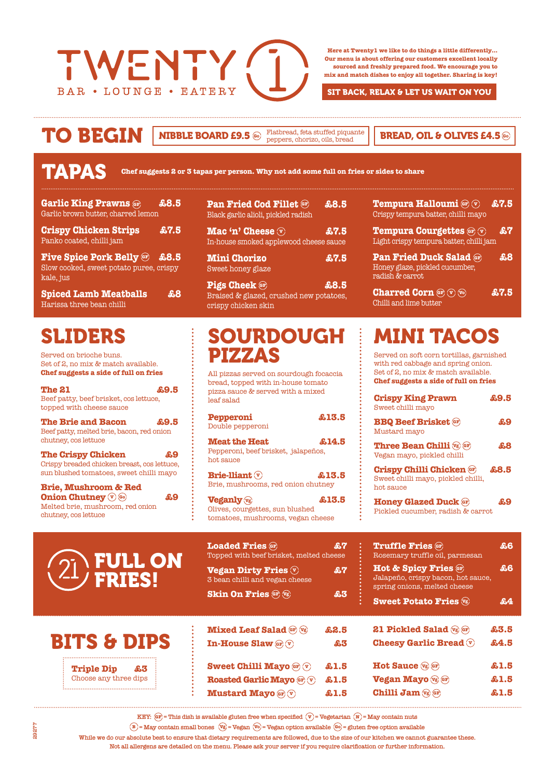

**Here at Twenty1 we like to do things a little differently… Our menu is about offering our customers excellent locally sourced and freshly prepared food. We encourage you to mix and match dishes to enjoy all together. Sharing is key!**

SIT BACK, RELAX & LET US WAIT ON YOU

### TO BEGIN **Go Go**

**NIBBLE BOARD £9.5**  $\circledast$  Flatbread, feta stuffed piquante **READ, OIL & OLIVES £4.5**  $\circledast$ 

|  | <b>TAPAS</b> |  |
|--|--------------|--|
|  |              |  |
|  |              |  |

**Chef suggests 2 or 3 tapas per person. Why not add some full on fries or sides to share**

| <b>Garlic King Prawns @F)</b><br>Garlic brown butter, charred lemon                    | £8.5         |
|----------------------------------------------------------------------------------------|--------------|
| <b>Crispy Chicken Strips</b><br>Panko coated, chilli jam                               | £7.5         |
| <b>Five Spice Pork Belly @</b><br>Slow cooked, sweet potato puree, crispy<br>kale, jus | \$8.5        |
| <b>Spiced Lamb Meatballs</b><br>Harissa three bean chilli                              | $\mathbf{a}$ |

## SLIDERS

Served on brioche buns. Set of 2, no mix & match available. **Chef suggests a side of full on fries**

| <b>The 21</b><br>Beef patty, beef brisket, cos lettuce,<br>topped with cheese sauce                                      | £9.5 |
|--------------------------------------------------------------------------------------------------------------------------|------|
| <b>The Brie and Bacon</b><br>Beef patty, melted brie, bacon, red onion<br>chutney, cos lettuce                           | £9.5 |
| <b>The Crispy Chicken</b><br>Crispy breaded chicken breast, cos lettuce,<br>sun blushed tomatoes, sweet chilli mayo      | £9   |
| <b>Brie, Mushroom &amp; Red</b><br><b>Onion Chutney V 60</b><br>Melted brie, mushroom, red onion<br>chutney, cos lettuce | £9   |

| <b>Pan Fried Cod Fillet @F</b><br>Black garlic alioli, pickled radish   | \$8.5 |
|-------------------------------------------------------------------------|-------|
| Mac 'n' Cheese $\overline{v}$<br>In-house smoked applewood cheese sauce | £7.5  |
| <b>Mini Chorizo</b><br>Sweet honey glaze                                | \$7.5 |
|                                                                         |       |

**Pigs Cheek GF 68.5** Braised & glazed, crushed new potatoes, crispy chicken skin

#### SOURDOUGH PIZZAS

All pizzas served on sourdough focaccia bread, topped with in-house tomato pizza sauce & served with a mixed leaf salad

| Pepperoni<br>Double pepperoni                                                   | £13.5 |
|---------------------------------------------------------------------------------|-------|
| <b>Meat the Heat</b><br>Pepperoni, beef brisket, jalapeños,<br>hot sauce        | £14.5 |
| <b>Brie-lliant</b> $\mathbf{\widehat{v}}$<br>Brie, mushrooms, red onion chutney | £13.5 |
| <b>Veganly v</b> g                                                              | £13.5 |

Olives, courgettes, sun blushed tomatoes, mushrooms, vegan cheese

| <b>Tempura Halloumi</b> or $\sqrt[n]{v}$                                 | \$7.5 |
|--------------------------------------------------------------------------|-------|
| Crispy tempura batter, chilli mayo                                       |       |
| <b>Tempura Courgettes (F)</b><br>Light crispy tempura batter, chilli jam | £7    |
|                                                                          |       |

**Pan Fried Duck Salad GF £8** Honey glaze, pickled cucumber, radish & carrot

**Charred Corn**  $\mathbf{F}(\nabla)\mathbf{F}(\nabla)\mathbf{F}(\nabla)\mathbf{F}(\nabla)\mathbf{F}(\nabla)\mathbf{F}(\nabla)\mathbf{F}(\nabla)\mathbf{F}(\nabla)\mathbf{F}(\nabla)\mathbf{F}(\nabla)\mathbf{F}(\nabla)\mathbf{F}(\nabla)\mathbf{F}(\nabla)\mathbf{F}(\nabla)\mathbf{F}(\nabla)\mathbf{F}(\nabla)\mathbf{F}(\nabla)\mathbf{F}(\nabla)\mathbf{F}(\nabla)\mathbf{F}(\nabla)\mathbf{F}$ Chilli and lime butter

# MINI TACOS

Served on soft corn tortillas, garnished with red cabbage and spring onion. Set of 2, no mix & match available. **Chef suggests a side of full on fries**

| <b>Crispy King Prawn</b><br>Sweet chilli mavo                                      | £9.5         |
|------------------------------------------------------------------------------------|--------------|
| <b>BBQ Beef Brisket @F</b><br>Mustard mayo                                         | £9           |
| <b>Three Bean Chilli</b> Vg GF<br>Vegan mayo, pickled chilli                       | $\mathbf{a}$ |
| <b>Crispy Chilli Chicken @F</b><br>Sweet chilli mayo, pickled chilli,<br>hot sauce | £8.5         |
| <b>Honey Glazed Duck (GF)</b><br>Pickled cucumber, radish & carrot                 | 49           |

| <b>OF FULL ON</b>   |
|---------------------|
| $\langle 4/$ FRIES! |

**Triple Dip £3** Choose any three dips

BITS & DIPS

| <b>Loaded Fries (GF)</b><br>Topped with beef brisket, melted cheese      | ÆЧ   |  |
|--------------------------------------------------------------------------|------|--|
| <b>Vegan Dirty Fries V</b><br>3 bean chilli and vegan cheese             | ዴ7   |  |
| <b>Skin On Fries @ vg</b>                                                | £3   |  |
| <b>Mixed Leaf Salad GF</b> Vg                                            | £2.5 |  |
| <b>In-House Slaw</b> $\left(\mathbf{r}\right)$ $\left(\mathbf{v}\right)$ | 83   |  |

**Sweet Chilli Mayo GF**  $\mathbf{\hat{v}}$  **£1.5 Roasted Garlic Mayo GF <sup>V</sup> £1.5 Mustard Mayo GF v 61.5** 

| <b>Truffle Fries GF</b><br>Rosemary truffle oil, parmesan                                               | ዱ6   |
|---------------------------------------------------------------------------------------------------------|------|
| <b>Hot &amp; Spicy Fries (GF)</b><br>Jalapeño, crispy bacon, hot sauce,<br>spring onions, melted cheese | 86   |
| <b>Sweet Potato Fries</b> $\mathbb{V}_6$                                                                | £4   |
| <b>21 Pickled Salad</b> <i>vs</i> GF                                                                    | £3.5 |
| <b>Cheesy Garlic Bread</b> $\overline{\mathbf{v}}$                                                      | £4.5 |
| Hot Sauce $\sqrt{q}$ GF                                                                                 | £1.5 |
| Vegan Mayo Vg GF                                                                                        | £1.5 |
| Chilli Jam Vg GF                                                                                        | £1.5 |

**KEY:**  $(F) = This$  dish is available gluten free when specified  $(F) = V$ egetarian  $(F) = May$  contain nuts

**B = May contain small bones Vg = Vegan Vo = Vegan option available Go = gluten free option available**

**While we do our absolute best to ensure that dietary requirements are followed, due to the size of our kitchen we cannot guarantee these.** 

**Not all allergens are detailed on the menu. Please ask your server if you require clarification or further information.**